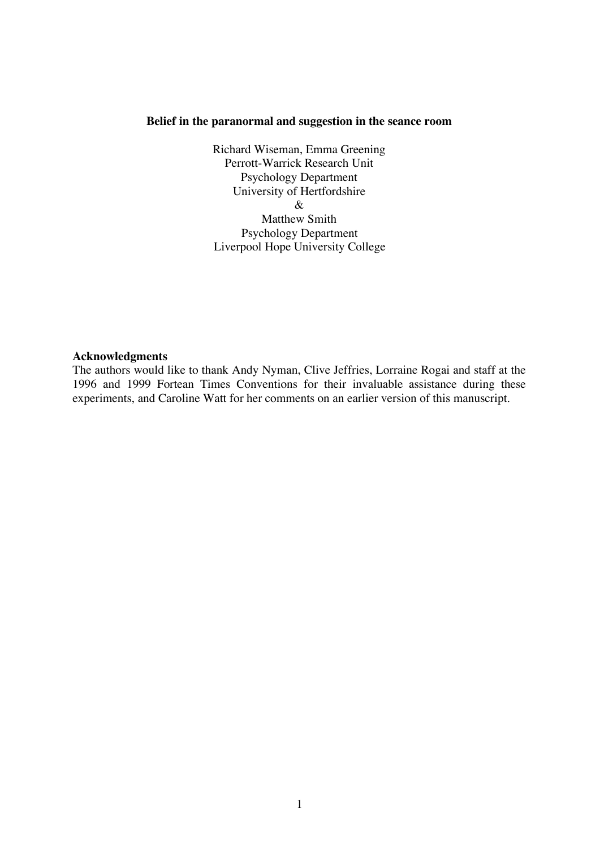### **Belief in the paranormal and suggestion in the seance room**

Richard Wiseman, Emma Greening Perrott-Warrick Research Unit Psychology Department University of Hertfordshire & Matthew Smith Psychology Department Liverpool Hope University College

#### **Acknowledgments**

The authors would like to thank Andy Nyman, Clive Jeffries, Lorraine Rogai and staff at the 1996 and 1999 Fortean Times Conventions for their invaluable assistance during these experiments, and Caroline Watt for her comments on an earlier version of this manuscript.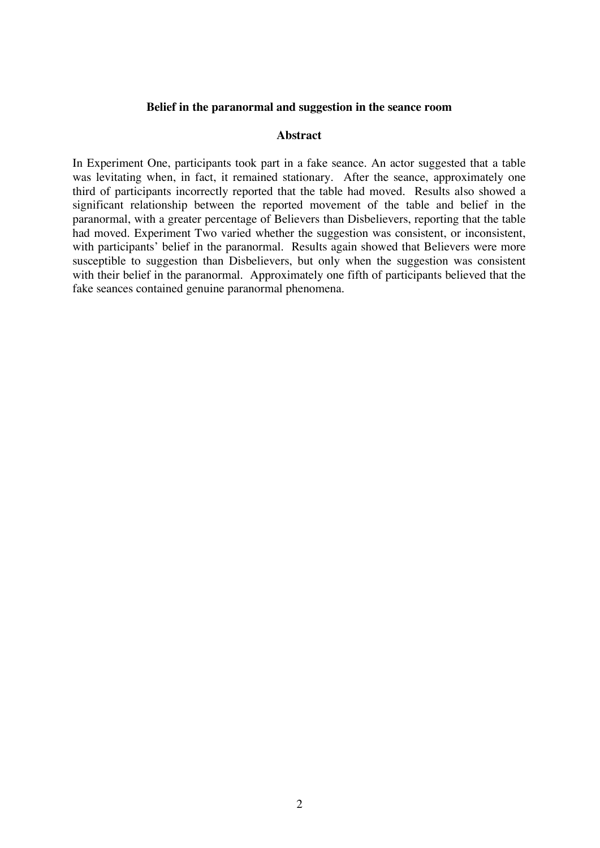#### **Belief in the paranormal and suggestion in the seance room**

#### **Abstract**

In Experiment One, participants took part in a fake seance. An actor suggested that a table was levitating when, in fact, it remained stationary. After the seance, approximately one third of participants incorrectly reported that the table had moved. Results also showed a significant relationship between the reported movement of the table and belief in the paranormal, with a greater percentage of Believers than Disbelievers, reporting that the table had moved. Experiment Two varied whether the suggestion was consistent, or inconsistent, with participants' belief in the paranormal. Results again showed that Believers were more susceptible to suggestion than Disbelievers, but only when the suggestion was consistent with their belief in the paranormal. Approximately one fifth of participants believed that the fake seances contained genuine paranormal phenomena.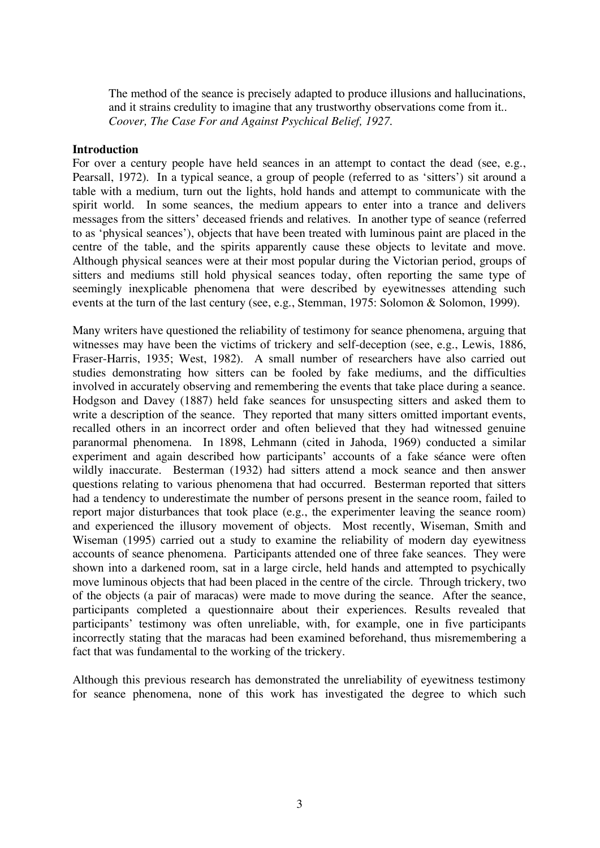The method of the seance is precisely adapted to produce illusions and hallucinations, and it strains credulity to imagine that any trustworthy observations come from it.. *Coover, The Case For and Against Psychical Belief, 1927.*

### **Introduction**

For over a century people have held seances in an attempt to contact the dead (see, e.g., Pearsall, 1972). In a typical seance, a group of people (referred to as 'sitters') sit around a table with a medium, turn out the lights, hold hands and attempt to communicate with the spirit world. In some seances, the medium appears to enter into a trance and delivers messages from the sitters' deceased friends and relatives. In another type of seance (referred to as 'physical seances'), objects that have been treated with luminous paint are placed in the centre of the table, and the spirits apparently cause these objects to levitate and move. Although physical seances were at their most popular during the Victorian period, groups of sitters and mediums still hold physical seances today, often reporting the same type of seemingly inexplicable phenomena that were described by eyewitnesses attending such events at the turn of the last century (see, e.g., Stemman, 1975: Solomon & Solomon, 1999).

Many writers have questioned the reliability of testimony for seance phenomena, arguing that witnesses may have been the victims of trickery and self-deception (see, e.g., Lewis, 1886, Fraser-Harris, 1935; West, 1982). A small number of researchers have also carried out studies demonstrating how sitters can be fooled by fake mediums, and the difficulties involved in accurately observing and remembering the events that take place during a seance. Hodgson and Davey (1887) held fake seances for unsuspecting sitters and asked them to write a description of the seance. They reported that many sitters omitted important events, recalled others in an incorrect order and often believed that they had witnessed genuine paranormal phenomena. In 1898, Lehmann (cited in Jahoda, 1969) conducted a similar experiment and again described how participants' accounts of a fake séance were often wildly inaccurate. Besterman (1932) had sitters attend a mock seance and then answer questions relating to various phenomena that had occurred. Besterman reported that sitters had a tendency to underestimate the number of persons present in the seance room, failed to report major disturbances that took place (e.g., the experimenter leaving the seance room) and experienced the illusory movement of objects. Most recently, Wiseman, Smith and Wiseman (1995) carried out a study to examine the reliability of modern day eyewitness accounts of seance phenomena. Participants attended one of three fake seances. They were shown into a darkened room, sat in a large circle, held hands and attempted to psychically move luminous objects that had been placed in the centre of the circle. Through trickery, two of the objects (a pair of maracas) were made to move during the seance. After the seance, participants completed a questionnaire about their experiences. Results revealed that participants' testimony was often unreliable, with, for example, one in five participants incorrectly stating that the maracas had been examined beforehand, thus misremembering a fact that was fundamental to the working of the trickery.

Although this previous research has demonstrated the unreliability of eyewitness testimony for seance phenomena, none of this work has investigated the degree to which such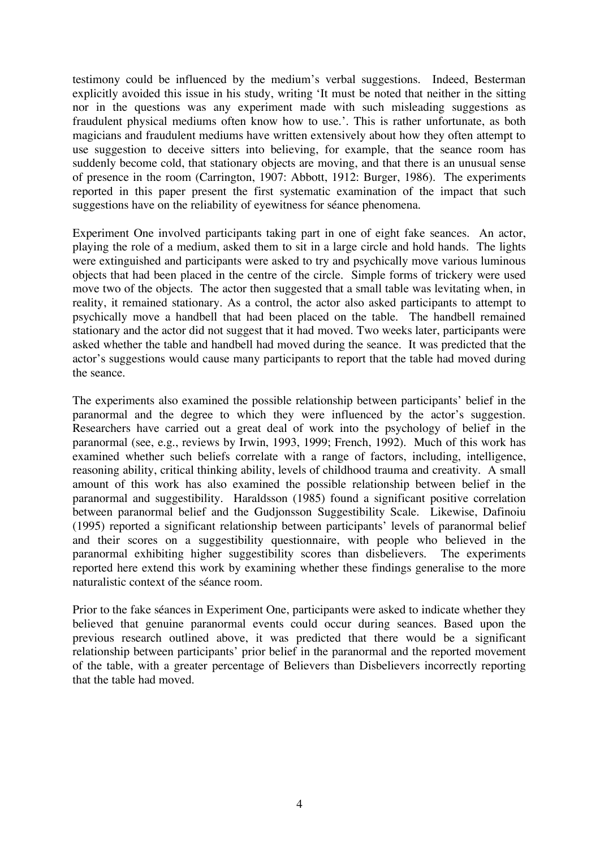testimony could be influenced by the medium's verbal suggestions. Indeed, Besterman explicitly avoided this issue in his study, writing 'It must be noted that neither in the sitting nor in the questions was any experiment made with such misleading suggestions as fraudulent physical mediums often know how to use.'. This is rather unfortunate, as both magicians and fraudulent mediums have written extensively about how they often attempt to use suggestion to deceive sitters into believing, for example, that the seance room has suddenly become cold, that stationary objects are moving, and that there is an unusual sense of presence in the room (Carrington, 1907: Abbott, 1912: Burger, 1986). The experiments reported in this paper present the first systematic examination of the impact that such suggestions have on the reliability of eyewitness for séance phenomena.

Experiment One involved participants taking part in one of eight fake seances. An actor, playing the role of a medium, asked them to sit in a large circle and hold hands. The lights were extinguished and participants were asked to try and psychically move various luminous objects that had been placed in the centre of the circle. Simple forms of trickery were used move two of the objects. The actor then suggested that a small table was levitating when, in reality, it remained stationary. As a control, the actor also asked participants to attempt to psychically move a handbell that had been placed on the table. The handbell remained stationary and the actor did not suggest that it had moved. Two weeks later, participants were asked whether the table and handbell had moved during the seance. It was predicted that the actor's suggestions would cause many participants to report that the table had moved during the seance.

The experiments also examined the possible relationship between participants' belief in the paranormal and the degree to which they were influenced by the actor's suggestion. Researchers have carried out a great deal of work into the psychology of belief in the paranormal (see, e.g., reviews by Irwin, 1993, 1999; French, 1992). Much of this work has examined whether such beliefs correlate with a range of factors, including, intelligence, reasoning ability, critical thinking ability, levels of childhood trauma and creativity. A small amount of this work has also examined the possible relationship between belief in the paranormal and suggestibility. Haraldsson (1985) found a significant positive correlation between paranormal belief and the Gudjonsson Suggestibility Scale. Likewise, Dafinoiu (1995) reported a significant relationship between participants' levels of paranormal belief and their scores on a suggestibility questionnaire, with people who believed in the paranormal exhibiting higher suggestibility scores than disbelievers. The experiments reported here extend this work by examining whether these findings generalise to the more naturalistic context of the séance room.

Prior to the fake séances in Experiment One, participants were asked to indicate whether they believed that genuine paranormal events could occur during seances. Based upon the previous research outlined above, it was predicted that there would be a significant relationship between participants' prior belief in the paranormal and the reported movement of the table, with a greater percentage of Believers than Disbelievers incorrectly reporting that the table had moved.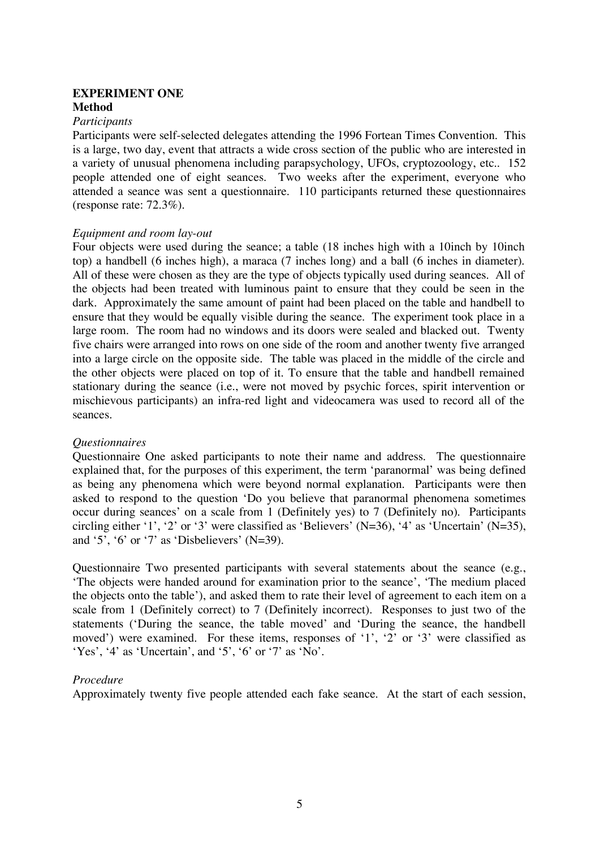# **EXPERIMENT ONE Method**

#### *Participants*

Participants were self-selected delegates attending the 1996 Fortean Times Convention. This is a large, two day, event that attracts a wide cross section of the public who are interested in a variety of unusual phenomena including parapsychology, UFOs, cryptozoology, etc.. 152 people attended one of eight seances. Two weeks after the experiment, everyone who attended a seance was sent a questionnaire. 110 participants returned these questionnaires (response rate: 72.3%).

#### *Equipment and room lay-out*

Four objects were used during the seance; a table (18 inches high with a 10inch by 10inch top) a handbell (6 inches high), a maraca (7 inches long) and a ball (6 inches in diameter). All of these were chosen as they are the type of objects typically used during seances. All of the objects had been treated with luminous paint to ensure that they could be seen in the dark. Approximately the same amount of paint had been placed on the table and handbell to ensure that they would be equally visible during the seance. The experiment took place in a large room. The room had no windows and its doors were sealed and blacked out. Twenty five chairs were arranged into rows on one side of the room and another twenty five arranged into a large circle on the opposite side. The table was placed in the middle of the circle and the other objects were placed on top of it. To ensure that the table and handbell remained stationary during the seance (i.e., were not moved by psychic forces, spirit intervention or mischievous participants) an infra-red light and videocamera was used to record all of the seances.

# *Questionnaires*

Questionnaire One asked participants to note their name and address. The questionnaire explained that, for the purposes of this experiment, the term 'paranormal' was being defined as being any phenomena which were beyond normal explanation. Participants were then asked to respond to the question 'Do you believe that paranormal phenomena sometimes occur during seances' on a scale from 1 (Definitely yes) to 7 (Definitely no). Participants circling either '1', '2' or '3' were classified as 'Believers' (N=36), '4' as 'Uncertain' (N=35), and '5', '6' or '7' as 'Disbelievers' (N=39).

Questionnaire Two presented participants with several statements about the seance (e.g., 'The objects were handed around for examination prior to the seance', 'The medium placed the objects onto the table'), and asked them to rate their level of agreement to each item on a scale from 1 (Definitely correct) to 7 (Definitely incorrect). Responses to just two of the statements ('During the seance, the table moved' and 'During the seance, the handbell moved') were examined. For these items, responses of '1', '2' or '3' were classified as 'Yes', '4' as 'Uncertain', and '5', '6' or '7' as 'No'.

# *Procedure*

Approximately twenty five people attended each fake seance. At the start of each session,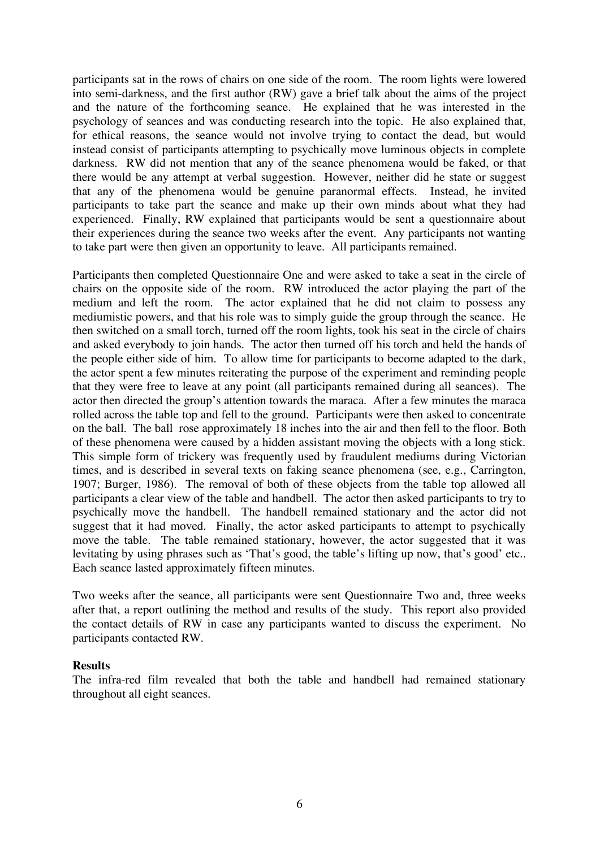participants sat in the rows of chairs on one side of the room. The room lights were lowered into semi-darkness, and the first author (RW) gave a brief talk about the aims of the project and the nature of the forthcoming seance. He explained that he was interested in the psychology of seances and was conducting research into the topic. He also explained that, for ethical reasons, the seance would not involve trying to contact the dead, but would instead consist of participants attempting to psychically move luminous objects in complete darkness. RW did not mention that any of the seance phenomena would be faked, or that there would be any attempt at verbal suggestion. However, neither did he state or suggest that any of the phenomena would be genuine paranormal effects. Instead, he invited participants to take part the seance and make up their own minds about what they had experienced. Finally, RW explained that participants would be sent a questionnaire about their experiences during the seance two weeks after the event. Any participants not wanting to take part were then given an opportunity to leave. All participants remained.

Participants then completed Questionnaire One and were asked to take a seat in the circle of chairs on the opposite side of the room. RW introduced the actor playing the part of the medium and left the room. The actor explained that he did not claim to possess any mediumistic powers, and that his role was to simply guide the group through the seance. He then switched on a small torch, turned off the room lights, took his seat in the circle of chairs and asked everybody to join hands. The actor then turned off his torch and held the hands of the people either side of him. To allow time for participants to become adapted to the dark, the actor spent a few minutes reiterating the purpose of the experiment and reminding people that they were free to leave at any point (all participants remained during all seances). The actor then directed the group's attention towards the maraca. After a few minutes the maraca rolled across the table top and fell to the ground. Participants were then asked to concentrate on the ball. The ball rose approximately 18 inches into the air and then fell to the floor. Both of these phenomena were caused by a hidden assistant moving the objects with a long stick. This simple form of trickery was frequently used by fraudulent mediums during Victorian times, and is described in several texts on faking seance phenomena (see, e.g., Carrington, 1907; Burger, 1986). The removal of both of these objects from the table top allowed all participants a clear view of the table and handbell. The actor then asked participants to try to psychically move the handbell. The handbell remained stationary and the actor did not suggest that it had moved. Finally, the actor asked participants to attempt to psychically move the table. The table remained stationary, however, the actor suggested that it was levitating by using phrases such as 'That's good, the table's lifting up now, that's good' etc.. Each seance lasted approximately fifteen minutes.

Two weeks after the seance, all participants were sent Questionnaire Two and, three weeks after that, a report outlining the method and results of the study. This report also provided the contact details of RW in case any participants wanted to discuss the experiment. No participants contacted RW.

#### **Results**

The infra-red film revealed that both the table and handbell had remained stationary throughout all eight seances.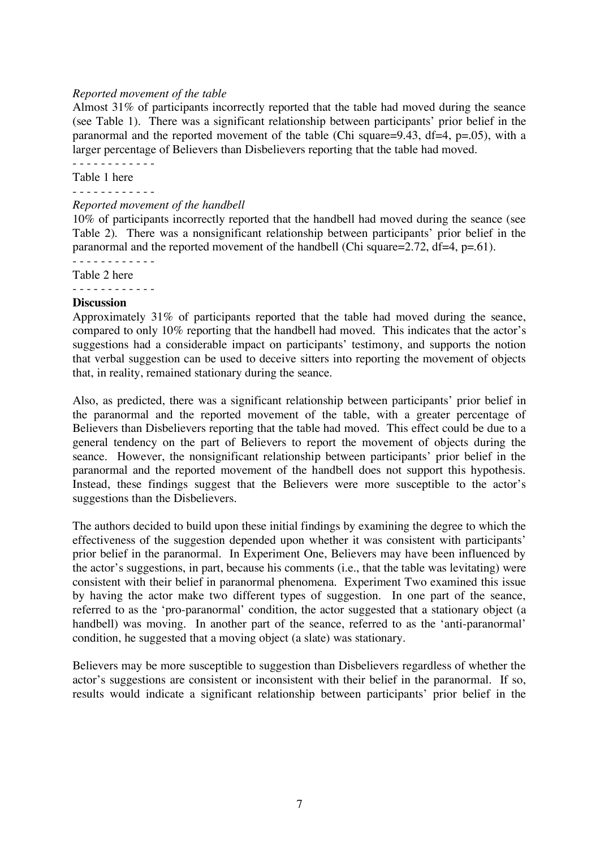### *Reported movement of the table*

Almost 31% of participants incorrectly reported that the table had moved during the seance (see Table 1). There was a significant relationship between participants' prior belief in the paranormal and the reported movement of the table (Chi square=9.43,  $df=4$ ,  $p=.05$ ), with a larger percentage of Believers than Disbelievers reporting that the table had moved.

- - - - - - - - - - - -

Table 1 here - - - - - - - - - - - -

*Reported movement of the handbell*

10% of participants incorrectly reported that the handbell had moved during the seance (see Table 2). There was a nonsignificant relationship between participants' prior belief in the paranormal and the reported movement of the handbell (Chi square=2.72, df=4, p=.61).

- - - - - - - - - - - - Table 2 here

# - - - - - - - - - - - -

# **Discussion**

Approximately 31% of participants reported that the table had moved during the seance, compared to only 10% reporting that the handbell had moved. This indicates that the actor's suggestions had a considerable impact on participants' testimony, and supports the notion that verbal suggestion can be used to deceive sitters into reporting the movement of objects that, in reality, remained stationary during the seance.

Also, as predicted, there was a significant relationship between participants' prior belief in the paranormal and the reported movement of the table, with a greater percentage of Believers than Disbelievers reporting that the table had moved. This effect could be due to a general tendency on the part of Believers to report the movement of objects during the seance. However, the nonsignificant relationship between participants' prior belief in the paranormal and the reported movement of the handbell does not support this hypothesis. Instead, these findings suggest that the Believers were more susceptible to the actor's suggestions than the Disbelievers.

The authors decided to build upon these initial findings by examining the degree to which the effectiveness of the suggestion depended upon whether it was consistent with participants' prior belief in the paranormal. In Experiment One, Believers may have been influenced by the actor's suggestions, in part, because his comments (i.e., that the table was levitating) were consistent with their belief in paranormal phenomena. Experiment Two examined this issue by having the actor make two different types of suggestion. In one part of the seance, referred to as the 'pro-paranormal' condition, the actor suggested that a stationary object (a handbell) was moving. In another part of the seance, referred to as the 'anti-paranormal' condition, he suggested that a moving object (a slate) was stationary.

Believers may be more susceptible to suggestion than Disbelievers regardless of whether the actor's suggestions are consistent or inconsistent with their belief in the paranormal. If so, results would indicate a significant relationship between participants' prior belief in the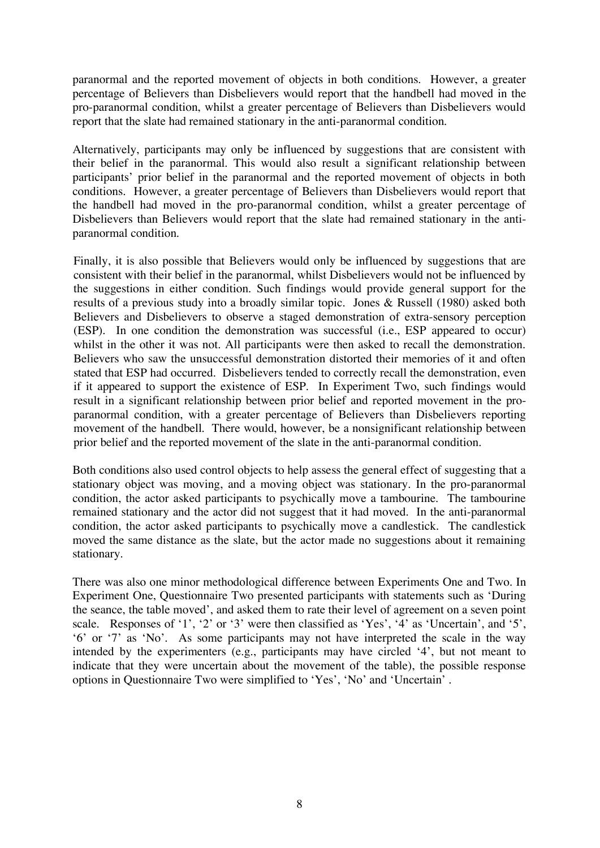paranormal and the reported movement of objects in both conditions. However, a greater percentage of Believers than Disbelievers would report that the handbell had moved in the pro-paranormal condition, whilst a greater percentage of Believers than Disbelievers would report that the slate had remained stationary in the anti-paranormal condition.

Alternatively, participants may only be influenced by suggestions that are consistent with their belief in the paranormal. This would also result a significant relationship between participants' prior belief in the paranormal and the reported movement of objects in both conditions. However, a greater percentage of Believers than Disbelievers would report that the handbell had moved in the pro-paranormal condition, whilst a greater percentage of Disbelievers than Believers would report that the slate had remained stationary in the antiparanormal condition.

Finally, it is also possible that Believers would only be influenced by suggestions that are consistent with their belief in the paranormal, whilst Disbelievers would not be influenced by the suggestions in either condition. Such findings would provide general support for the results of a previous study into a broadly similar topic. Jones & Russell (1980) asked both Believers and Disbelievers to observe a staged demonstration of extra-sensory perception (ESP). In one condition the demonstration was successful (i.e., ESP appeared to occur) whilst in the other it was not. All participants were then asked to recall the demonstration. Believers who saw the unsuccessful demonstration distorted their memories of it and often stated that ESP had occurred. Disbelievers tended to correctly recall the demonstration, even if it appeared to support the existence of ESP. In Experiment Two, such findings would result in a significant relationship between prior belief and reported movement in the proparanormal condition, with a greater percentage of Believers than Disbelievers reporting movement of the handbell. There would, however, be a nonsignificant relationship between prior belief and the reported movement of the slate in the anti-paranormal condition.

Both conditions also used control objects to help assess the general effect of suggesting that a stationary object was moving, and a moving object was stationary. In the pro-paranormal condition, the actor asked participants to psychically move a tambourine. The tambourine remained stationary and the actor did not suggest that it had moved. In the anti-paranormal condition, the actor asked participants to psychically move a candlestick. The candlestick moved the same distance as the slate, but the actor made no suggestions about it remaining stationary.

There was also one minor methodological difference between Experiments One and Two. In Experiment One, Questionnaire Two presented participants with statements such as 'During the seance, the table moved', and asked them to rate their level of agreement on a seven point scale. Responses of '1', '2' or '3' were then classified as 'Yes', '4' as 'Uncertain', and '5', '6' or '7' as 'No'. As some participants may not have interpreted the scale in the way intended by the experimenters (e.g., participants may have circled '4', but not meant to indicate that they were uncertain about the movement of the table), the possible response options in Questionnaire Two were simplified to 'Yes', 'No' and 'Uncertain' .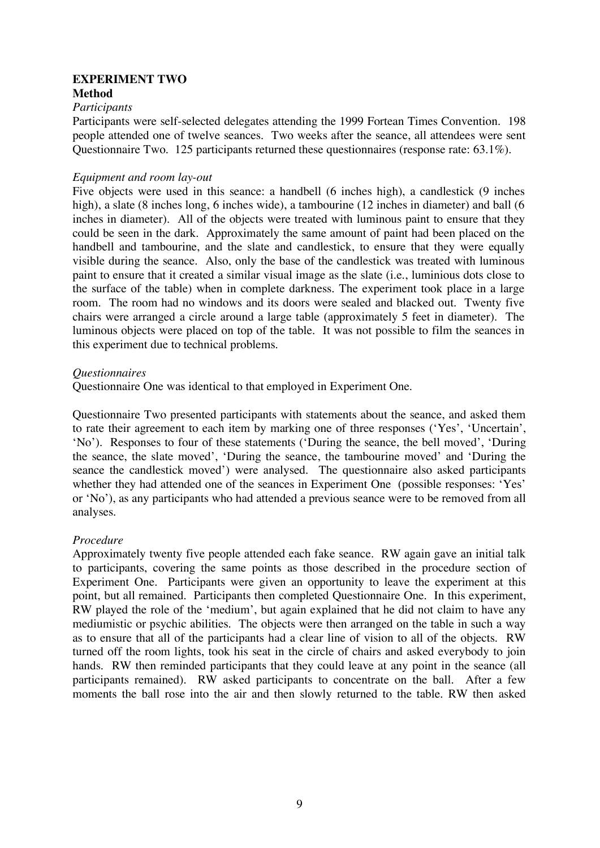# **EXPERIMENT TWO Method**

# *Participants*

Participants were self-selected delegates attending the 1999 Fortean Times Convention. 198 people attended one of twelve seances. Two weeks after the seance, all attendees were sent Questionnaire Two. 125 participants returned these questionnaires (response rate: 63.1%).

# *Equipment and room lay-out*

Five objects were used in this seance: a handbell (6 inches high), a candlestick (9 inches high), a slate (8 inches long, 6 inches wide), a tambourine (12 inches in diameter) and ball (6 inches in diameter). All of the objects were treated with luminous paint to ensure that they could be seen in the dark. Approximately the same amount of paint had been placed on the handbell and tambourine, and the slate and candlestick, to ensure that they were equally visible during the seance. Also, only the base of the candlestick was treated with luminous paint to ensure that it created a similar visual image as the slate (i.e., luminious dots close to the surface of the table) when in complete darkness. The experiment took place in a large room. The room had no windows and its doors were sealed and blacked out. Twenty five chairs were arranged a circle around a large table (approximately 5 feet in diameter). The luminous objects were placed on top of the table. It was not possible to film the seances in this experiment due to technical problems.

# *Questionnaires*

Questionnaire One was identical to that employed in Experiment One.

Questionnaire Two presented participants with statements about the seance, and asked them to rate their agreement to each item by marking one of three responses ('Yes', 'Uncertain', 'No'). Responses to four of these statements ('During the seance, the bell moved', 'During the seance, the slate moved', 'During the seance, the tambourine moved' and 'During the seance the candlestick moved') were analysed. The questionnaire also asked participants whether they had attended one of the seances in Experiment One (possible responses: 'Yes' or 'No'), as any participants who had attended a previous seance were to be removed from all analyses.

# *Procedure*

Approximately twenty five people attended each fake seance. RW again gave an initial talk to participants, covering the same points as those described in the procedure section of Experiment One. Participants were given an opportunity to leave the experiment at this point, but all remained. Participants then completed Questionnaire One. In this experiment, RW played the role of the 'medium', but again explained that he did not claim to have any mediumistic or psychic abilities. The objects were then arranged on the table in such a way as to ensure that all of the participants had a clear line of vision to all of the objects. RW turned off the room lights, took his seat in the circle of chairs and asked everybody to join hands. RW then reminded participants that they could leave at any point in the seance (all participants remained). RW asked participants to concentrate on the ball. After a few moments the ball rose into the air and then slowly returned to the table. RW then asked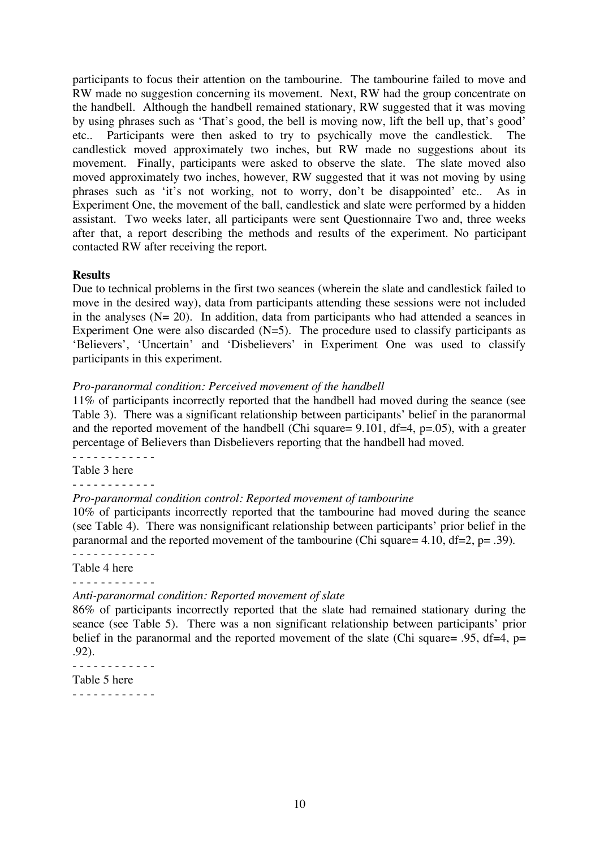participants to focus their attention on the tambourine. The tambourine failed to move and RW made no suggestion concerning its movement. Next, RW had the group concentrate on the handbell. Although the handbell remained stationary, RW suggested that it was moving by using phrases such as 'That's good, the bell is moving now, lift the bell up, that's good' etc.. Participants were then asked to try to psychically move the candlestick. The candlestick moved approximately two inches, but RW made no suggestions about its movement. Finally, participants were asked to observe the slate. The slate moved also moved approximately two inches, however, RW suggested that it was not moving by using phrases such as 'it's not working, not to worry, don't be disappointed' etc.. As in Experiment One, the movement of the ball, candlestick and slate were performed by a hidden assistant. Two weeks later, all participants were sent Questionnaire Two and, three weeks after that, a report describing the methods and results of the experiment. No participant contacted RW after receiving the report.

### **Results**

Due to technical problems in the first two seances (wherein the slate and candlestick failed to move in the desired way), data from participants attending these sessions were not included in the analyses  $(N= 20)$ . In addition, data from participants who had attended a seances in Experiment One were also discarded  $(N=5)$ . The procedure used to classify participants as 'Believers', 'Uncertain' and 'Disbelievers' in Experiment One was used to classify participants in this experiment.

### *Pro-paranormal condition: Perceived movement of the handbell*

11% of participants incorrectly reported that the handbell had moved during the seance (see Table 3). There was a significant relationship between participants' belief in the paranormal and the reported movement of the handbell (Chi square=  $9.101$ , df=4, p=.05), with a greater percentage of Believers than Disbelievers reporting that the handbell had moved.

- - - - - - - - - - - -

Table 3 here - - - - - - - - - - - -

# *Pro-paranormal condition control: Reported movement of tambourine*

10% of participants incorrectly reported that the tambourine had moved during the seance (see Table 4). There was nonsignificant relationship between participants' prior belief in the paranormal and the reported movement of the tambourine (Chi square= 4.10, df=2, p= .39).

- - - - - - - - - - - -

Table 4 here - - - - - - - - - - - -

*Anti-paranormal condition: Reported movement of slate*

86% of participants incorrectly reported that the slate had remained stationary during the seance (see Table 5). There was a non significant relationship between participants' prior belief in the paranormal and the reported movement of the slate (Chi square= .95, df=4,  $p=$ .92).

- - - - - - - - - - - -

Table 5 here - - - - - - - - - - - -

10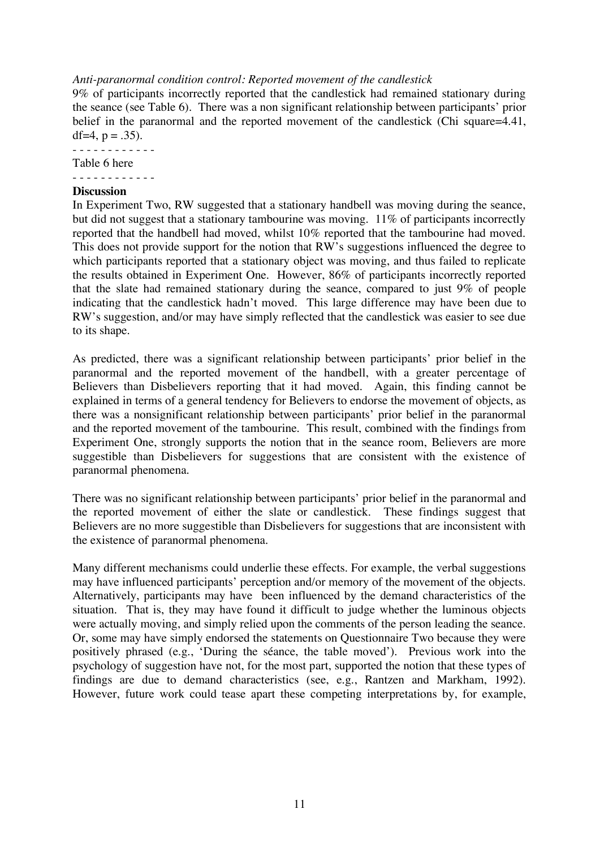### *Anti-paranormal condition control: Reported movement of the candlestick*

9% of participants incorrectly reported that the candlestick had remained stationary during the seance (see Table 6). There was a non significant relationship between participants' prior belief in the paranormal and the reported movement of the candlestick (Chi square=4.41, df=4,  $p = .35$ ).

- - - - - - - - - - - -

Table 6 here

#### **Discussion**

In Experiment Two, RW suggested that a stationary handbell was moving during the seance, but did not suggest that a stationary tambourine was moving. 11% of participants incorrectly reported that the handbell had moved, whilst 10% reported that the tambourine had moved. This does not provide support for the notion that RW's suggestions influenced the degree to which participants reported that a stationary object was moving, and thus failed to replicate the results obtained in Experiment One. However, 86% of participants incorrectly reported that the slate had remained stationary during the seance, compared to just 9% of people indicating that the candlestick hadn't moved. This large difference may have been due to RW's suggestion, and/or may have simply reflected that the candlestick was easier to see due to its shape.

As predicted, there was a significant relationship between participants' prior belief in the paranormal and the reported movement of the handbell, with a greater percentage of Believers than Disbelievers reporting that it had moved. Again, this finding cannot be explained in terms of a general tendency for Believers to endorse the movement of objects, as there was a nonsignificant relationship between participants' prior belief in the paranormal and the reported movement of the tambourine. This result, combined with the findings from Experiment One, strongly supports the notion that in the seance room, Believers are more suggestible than Disbelievers for suggestions that are consistent with the existence of paranormal phenomena.

There was no significant relationship between participants' prior belief in the paranormal and the reported movement of either the slate or candlestick. These findings suggest that Believers are no more suggestible than Disbelievers for suggestions that are inconsistent with the existence of paranormal phenomena.

Many different mechanisms could underlie these effects. For example, the verbal suggestions may have influenced participants' perception and/or memory of the movement of the objects. Alternatively, participants may have been influenced by the demand characteristics of the situation. That is, they may have found it difficult to judge whether the luminous objects were actually moving, and simply relied upon the comments of the person leading the seance. Or, some may have simply endorsed the statements on Questionnaire Two because they were positively phrased (e.g., 'During the séance, the table moved'). Previous work into the psychology of suggestion have not, for the most part, supported the notion that these types of findings are due to demand characteristics (see, e.g., Rantzen and Markham, 1992). However, future work could tease apart these competing interpretations by, for example,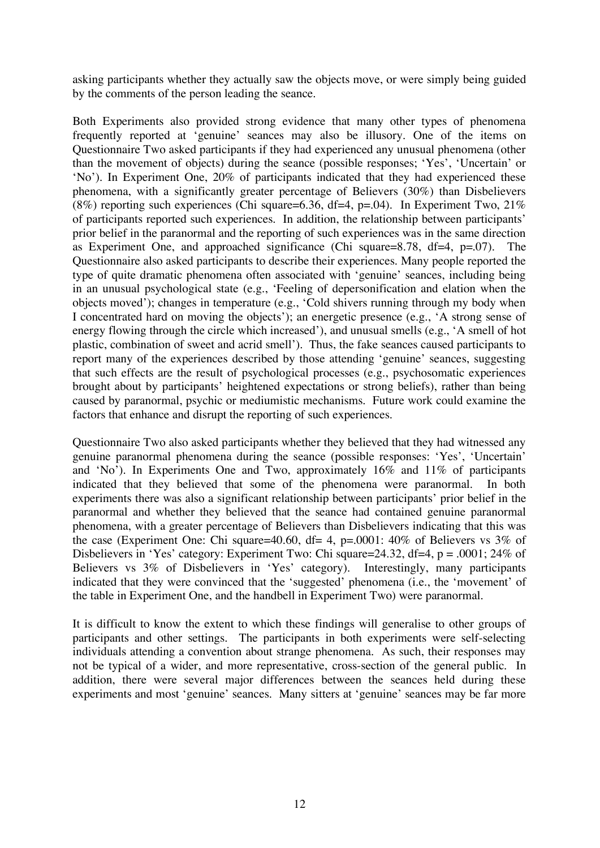asking participants whether they actually saw the objects move, or were simply being guided by the comments of the person leading the seance.

Both Experiments also provided strong evidence that many other types of phenomena frequently reported at 'genuine' seances may also be illusory. One of the items on Questionnaire Two asked participants if they had experienced any unusual phenomena (other than the movement of objects) during the seance (possible responses; 'Yes', 'Uncertain' or 'No'). In Experiment One, 20% of participants indicated that they had experienced these phenomena, with a significantly greater percentage of Believers (30%) than Disbelievers (8%) reporting such experiences (Chi square=6.36, df=4, p=.04). In Experiment Two,  $21\%$ of participants reported such experiences. In addition, the relationship between participants' prior belief in the paranormal and the reporting of such experiences was in the same direction as Experiment One, and approached significance (Chi square=8.78, df=4, p=.07). The Questionnaire also asked participants to describe their experiences. Many people reported the type of quite dramatic phenomena often associated with 'genuine' seances, including being in an unusual psychological state (e.g., 'Feeling of depersonification and elation when the objects moved'); changes in temperature (e.g., 'Cold shivers running through my body when I concentrated hard on moving the objects'); an energetic presence (e.g., 'A strong sense of energy flowing through the circle which increased'), and unusual smells (e.g., 'A smell of hot plastic, combination of sweet and acrid smell'). Thus, the fake seances caused participants to report many of the experiences described by those attending 'genuine' seances, suggesting that such effects are the result of psychological processes (e.g., psychosomatic experiences brought about by participants' heightened expectations or strong beliefs), rather than being caused by paranormal, psychic or mediumistic mechanisms. Future work could examine the factors that enhance and disrupt the reporting of such experiences.

Questionnaire Two also asked participants whether they believed that they had witnessed any genuine paranormal phenomena during the seance (possible responses: 'Yes', 'Uncertain' and 'No'). In Experiments One and Two, approximately 16% and 11% of participants indicated that they believed that some of the phenomena were paranormal. In both experiments there was also a significant relationship between participants' prior belief in the paranormal and whether they believed that the seance had contained genuine paranormal phenomena, with a greater percentage of Believers than Disbelievers indicating that this was the case (Experiment One: Chi square=40.60, df= 4, p=.0001: 40% of Believers vs 3% of Disbelievers in 'Yes' category: Experiment Two: Chi square=24.32, df=4, p = .0001; 24% of Believers vs 3% of Disbelievers in 'Yes' category). Interestingly, many participants indicated that they were convinced that the 'suggested' phenomena (i.e., the 'movement' of the table in Experiment One, and the handbell in Experiment Two) were paranormal.

It is difficult to know the extent to which these findings will generalise to other groups of participants and other settings. The participants in both experiments were self-selecting individuals attending a convention about strange phenomena. As such, their responses may not be typical of a wider, and more representative, cross-section of the general public. In addition, there were several major differences between the seances held during these experiments and most 'genuine' seances. Many sitters at 'genuine' seances may be far more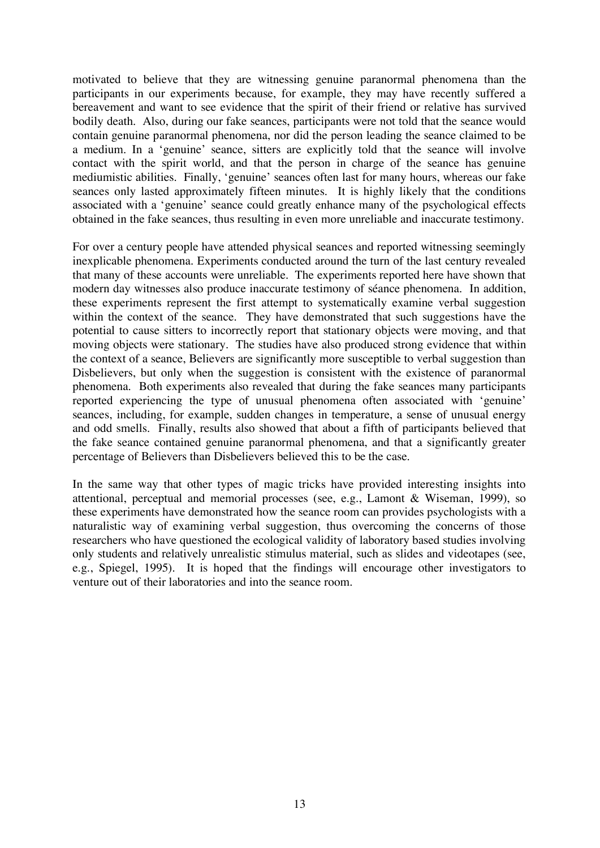motivated to believe that they are witnessing genuine paranormal phenomena than the participants in our experiments because, for example, they may have recently suffered a bereavement and want to see evidence that the spirit of their friend or relative has survived bodily death. Also, during our fake seances, participants were not told that the seance would contain genuine paranormal phenomena, nor did the person leading the seance claimed to be a medium. In a 'genuine' seance, sitters are explicitly told that the seance will involve contact with the spirit world, and that the person in charge of the seance has genuine mediumistic abilities. Finally, 'genuine' seances often last for many hours, whereas our fake seances only lasted approximately fifteen minutes. It is highly likely that the conditions associated with a 'genuine' seance could greatly enhance many of the psychological effects obtained in the fake seances, thus resulting in even more unreliable and inaccurate testimony.

For over a century people have attended physical seances and reported witnessing seemingly inexplicable phenomena. Experiments conducted around the turn of the last century revealed that many of these accounts were unreliable. The experiments reported here have shown that modern day witnesses also produce inaccurate testimony of séance phenomena. In addition, these experiments represent the first attempt to systematically examine verbal suggestion within the context of the seance. They have demonstrated that such suggestions have the potential to cause sitters to incorrectly report that stationary objects were moving, and that moving objects were stationary. The studies have also produced strong evidence that within the context of a seance, Believers are significantly more susceptible to verbal suggestion than Disbelievers, but only when the suggestion is consistent with the existence of paranormal phenomena. Both experiments also revealed that during the fake seances many participants reported experiencing the type of unusual phenomena often associated with 'genuine' seances, including, for example, sudden changes in temperature, a sense of unusual energy and odd smells. Finally, results also showed that about a fifth of participants believed that the fake seance contained genuine paranormal phenomena, and that a significantly greater percentage of Believers than Disbelievers believed this to be the case.

In the same way that other types of magic tricks have provided interesting insights into attentional, perceptual and memorial processes (see, e.g., Lamont & Wiseman, 1999), so these experiments have demonstrated how the seance room can provides psychologists with a naturalistic way of examining verbal suggestion, thus overcoming the concerns of those researchers who have questioned the ecological validity of laboratory based studies involving only students and relatively unrealistic stimulus material, such as slides and videotapes (see, e.g., Spiegel, 1995). It is hoped that the findings will encourage other investigators to venture out of their laboratories and into the seance room.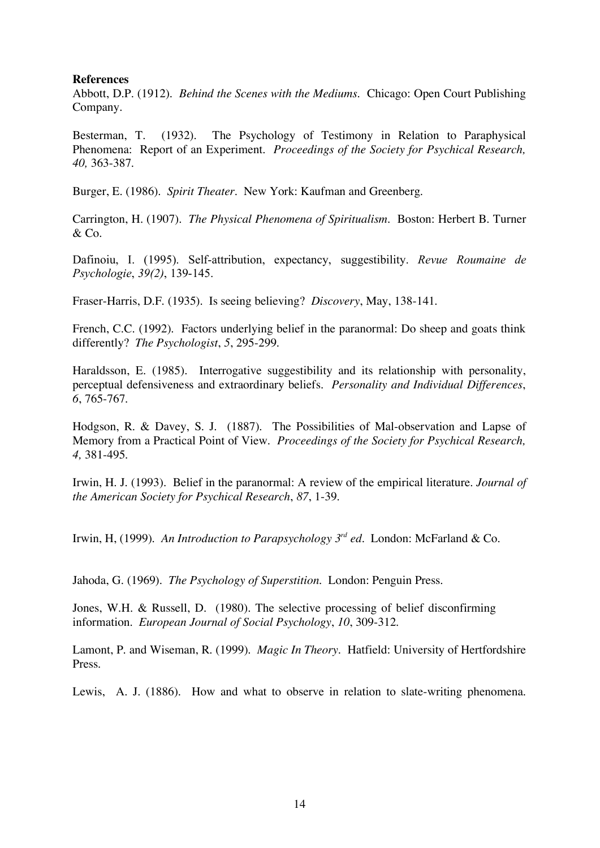#### **References**

Abbott, D.P. (1912). *Behind the Scenes with the Mediums.* Chicago: Open Court Publishing Company.

Besterman, T. (1932). The Psychology of Testimony in Relation to Paraphysical Phenomena: Report of an Experiment. *Proceedings of the Society for Psychical Research, 40,* 363-387.

Burger, E. (1986). *Spirit Theater.* New York: Kaufman and Greenberg.

Carrington, H. (1907). *The Physical Phenomena of Spiritualism.* Boston: Herbert B. Turner & Co.

Dafinoiu, I. (1995). Self-attribution, expectancy, suggestibility. *Revue Roumaine de Psychologie*, *39(2)*, 139-145.

Fraser-Harris, D.F. (1935). Is seeing believing? *Discovery*, May, 138-141.

French, C.C. (1992). Factors underlying belief in the paranormal: Do sheep and goats think differently? *The Psychologist*, *5*, 295-299.

Haraldsson, E. (1985). Interrogative suggestibility and its relationship with personality, perceptual defensiveness and extraordinary beliefs. *Personality and Individual Differences*, *6*, 765-767.

Hodgson, R. & Davey, S. J. (1887). The Possibilities of Mal-observation and Lapse of Memory from a Practical Point of View. *Proceedings of the Society for Psychical Research, 4,* 381-495.

Irwin, H. J. (1993). Belief in the paranormal: A review of the empirical literature. *Journal of the American Society for Psychical Research*, *87*, 1-39.

Irwin, H, (1999). *An Introduction to Parapsychology 3rd ed*. London: McFarland & Co.

Jahoda, G. (1969). *The Psychology of Superstition.* London: Penguin Press.

Jones, W.H. & Russell, D. (1980). The selective processing of belief disconfirming information. *European Journal of Social Psychology*, *10*, 309-312.

Lamont, P. and Wiseman, R. (1999). *Magic In Theory.* Hatfield: University of Hertfordshire Press.

Lewis, A. J. (1886). How and what to observe in relation to slate-writing phenomena.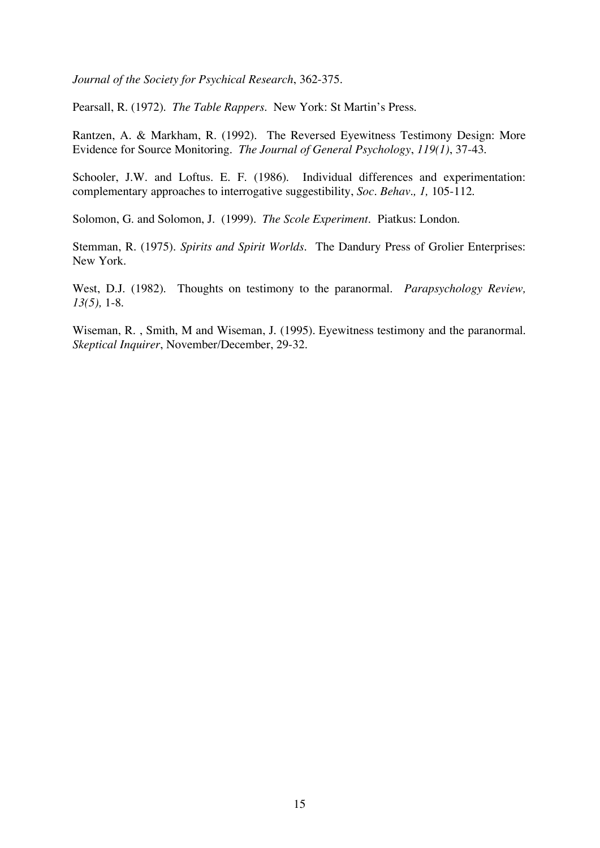*Journal of the Society for Psychical Research*, 362-375.

Pearsall, R. (1972). *The Table Rappers.* New York: St Martin's Press.

Rantzen, A. & Markham, R. (1992). The Reversed Eyewitness Testimony Design: More Evidence for Source Monitoring. *The Journal of General Psychology*, *119(1)*, 37-43.

Schooler, J.W. and Loftus. E. F. (1986). Individual differences and experimentation: complementary approaches to interrogative suggestibility, *Soc. Behav., 1,* 105-112.

Solomon, G. and Solomon, J. (1999). *The Scole Experiment.* Piatkus: London.

Stemman, R. (1975). *Spirits and Spirit Worlds.* The Dandury Press of Grolier Enterprises: New York.

West, D.J. (1982). Thoughts on testimony to the paranormal. *Parapsychology Review, 13(5),* 1-8.

Wiseman, R. , Smith, M and Wiseman, J. (1995). Eyewitness testimony and the paranormal. *Skeptical Inquirer*, November/December, 29-32.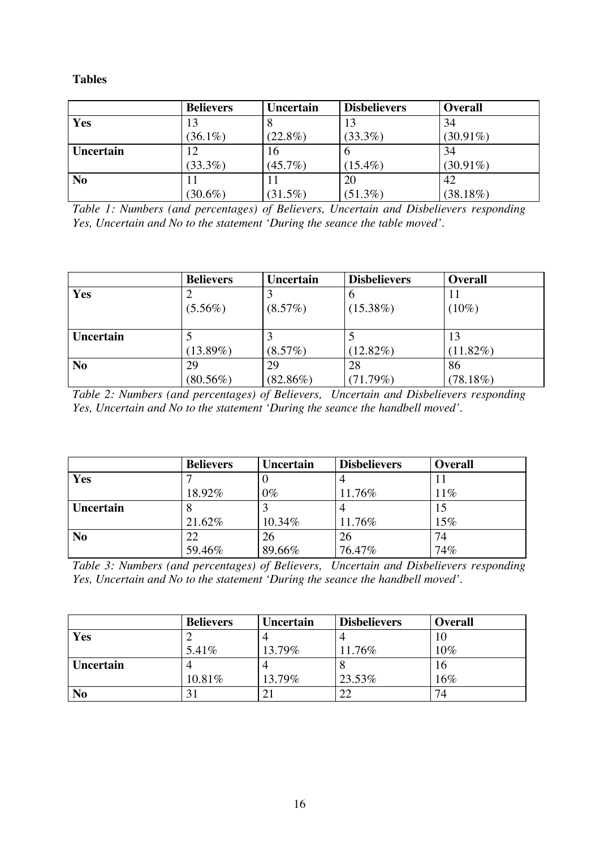**Tables**

|                  | <b>Believers</b> | Uncertain  | <b>Disbelievers</b> | <b>Overall</b> |
|------------------|------------------|------------|---------------------|----------------|
| Yes              |                  |            | 13                  | 34             |
|                  | $(36.1\%)$       | $(22.8\%)$ | $(33.3\%)$          | $(30.91\%)$    |
| <b>Uncertain</b> |                  | 16         | O                   | 34             |
|                  | $(33.3\%)$       | $(45.7\%)$ | $(15.4\%)$          | $(30.91\%)$    |
| <b>No</b>        |                  | 11         | 20                  | 42             |
|                  | $(30.6\%)$       | $(31.5\%)$ | $(51.3\%)$          | $(38.18\%)$    |

*Table 1: Numbers (and percentages) of Believers, Uncertain and Disbelievers responding Yes, Uncertain and No to the statement 'During the seance the table moved'.*

|                  | <b>Believers</b> | <b>Uncertain</b> | <b>Disbelievers</b> | <b>Overall</b> |
|------------------|------------------|------------------|---------------------|----------------|
| Yes              |                  |                  | O                   |                |
|                  | $(5.56\%)$       | $(8.57\%)$       | $(15.38\%)$         | $(10\%)$       |
|                  |                  |                  |                     |                |
| <b>Uncertain</b> |                  |                  |                     | 13             |
|                  | $(13.89\%)$      | (8.57%)          | $(12.82\%)$         | $(11.82\%)$    |
| N <sub>o</sub>   | 29               | 29               | 28                  | 86             |
|                  | $(80.56\%)$      | $(82.86\%)$      | (71.79%)            | $(78.18\%)$    |

*Table 2: Numbers (and percentages) of Believers, Uncertain and Disbelievers responding Yes, Uncertain and No to the statement 'During the seance the handbell moved'.*

|           | <b>Believers</b> | <b>Uncertain</b> | <b>Disbelievers</b> | <b>Overall</b> |
|-----------|------------------|------------------|---------------------|----------------|
| Yes       |                  |                  |                     |                |
|           | 18.92%           | $0\%$            | 11.76%              | 11%            |
| Uncertain |                  |                  |                     |                |
|           | 21.62%           | 10.34%           | 11.76%              | 15%            |
| No        | 22               | 26               | 26                  | 74             |
|           | 59.46%           | 89.66%           | 76.47%              | 74%            |

*Table 3: Numbers (and percentages) of Believers, Uncertain and Disbelievers responding Yes, Uncertain and No to the statement 'During the seance the handbell moved'.*

|                  | <b>Believers</b> | Uncertain   | <b>Disbelievers</b> | <b>Overall</b> |
|------------------|------------------|-------------|---------------------|----------------|
| <b>Yes</b>       |                  |             |                     | 10             |
|                  | 5.41%            | 13.79%      | 11.76%              | 10%            |
| <b>Uncertain</b> |                  |             |                     | 16             |
|                  | 10.81%           | 13.79%      | 23.53%              | 16%            |
| N <sub>o</sub>   |                  | $2^{\cdot}$ | 22                  | 74             |